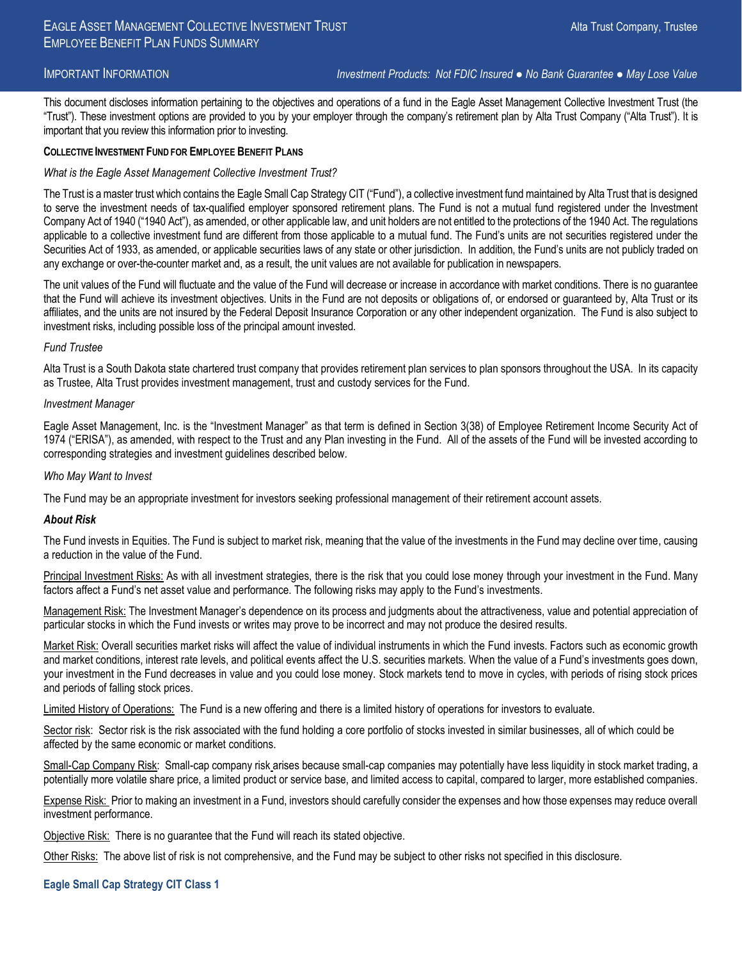IMPORTANT INFORMATION *Investment Products: Not FDIC Insured ● No Bank Guarantee ● May Lose Value*

This document discloses information pertaining to the objectives and operations of a fund in the Eagle Asset Management Collective Investment Trust (the "Trust"). These investment options are provided to you by your employer through the company's retirement plan by Alta Trust Company ("Alta Trust"). It is important that you review this information prior to investing.

#### **COLLECTIVE INVESTMENT FUND FOR EMPLOYEE BENEFIT PLANS**

#### *What is the Eagle Asset Management Collective Investment Trust?*

The Trust is a master trust which contains the Eagle Small Cap Strategy CIT ("Fund"), a collective investment fund maintained by Alta Trust that is designed to serve the investment needs of tax-qualified employer sponsored retirement plans. The Fund is not a mutual fund registered under the Investment Company Act of 1940 ("1940 Act"), as amended, or other applicable law, and unit holders are not entitled to the protections of the 1940 Act. The regulations applicable to a collective investment fund are different from those applicable to a mutual fund. The Fund's units are not securities registered under the Securities Act of 1933, as amended, or applicable securities laws of any state or other jurisdiction. In addition, the Fund's units are not publicly traded on any exchange or over-the-counter market and, as a result, the unit values are not available for publication in newspapers.

The unit values of the Fund will fluctuate and the value of the Fund will decrease or increase in accordance with market conditions. There is no guarantee that the Fund will achieve its investment objectives. Units in the Fund are not deposits or obligations of, or endorsed or guaranteed by, Alta Trust or its affiliates, and the units are not insured by the Federal Deposit Insurance Corporation or any other independent organization. The Fund is also subject to investment risks, including possible loss of the principal amount invested.

#### *Fund Trustee*

Alta Trust is a South Dakota state chartered trust company that provides retirement plan services to plan sponsors throughout the USA. In its capacity as Trustee, Alta Trust provides investment management, trust and custody services for the Fund.

#### *Investment Manager*

Eagle Asset Management, Inc. is the "Investment Manager" as that term is defined in Section 3(38) of Employee Retirement Income Security Act of 1974 ("ERISA"), as amended, with respect to the Trust and any Plan investing in the Fund. All of the assets of the Fund will be invested according to corresponding strategies and investment guidelines described below.

#### *Who May Want to Invest*

The Fund may be an appropriate investment for investors seeking professional management of their retirement account assets.

#### *About Risk*

The Fund invests in Equities. The Fund is subject to market risk, meaning that the value of the investments in the Fund may decline over time, causing a reduction in the value of the Fund.

Principal Investment Risks: As with all investment strategies, there is the risk that you could lose money through your investment in the Fund. Many factors affect a Fund's net asset value and performance. The following risks may apply to the Fund's investments.

Management Risk: The Investment Manager's dependence on its process and judgments about the attractiveness, value and potential appreciation of particular stocks in which the Fund invests or writes may prove to be incorrect and may not produce the desired results.

Market Risk: Overall securities market risks will affect the value of individual instruments in which the Fund invests. Factors such as economic growth and market conditions, interest rate levels, and political events affect the U.S. securities markets. When the value of a Fund's investments goes down, your investment in the Fund decreases in value and you could lose money. Stock markets tend to move in cycles, with periods of rising stock prices and periods of falling stock prices.

Limited History of Operations: The Fund is a new offering and there is a limited history of operations for investors to evaluate.

Sector risk: Sector risk is the risk associated with the fund holding a core portfolio of stocks invested in similar businesses, all of which could be affected by the same economic or market conditions.

Small-Cap Company Risk: Small-cap company risk arises because small-cap companies may potentially have less liquidity in stock market trading, a potentially more volatile share price, a limited product or service base, and limited access to capital, compared to larger, more established companies.

Expense Risk: Prior to making an investment in a Fund, investors should carefully consider the expenses and how those expenses may reduce overall investment performance.

Objective Risk: There is no guarantee that the Fund will reach its stated objective.

Other Risks: The above list of risk is not comprehensive, and the Fund may be subject to other risks not specified in this disclosure.

# **Eagle Small Cap Strategy CIT Class 1**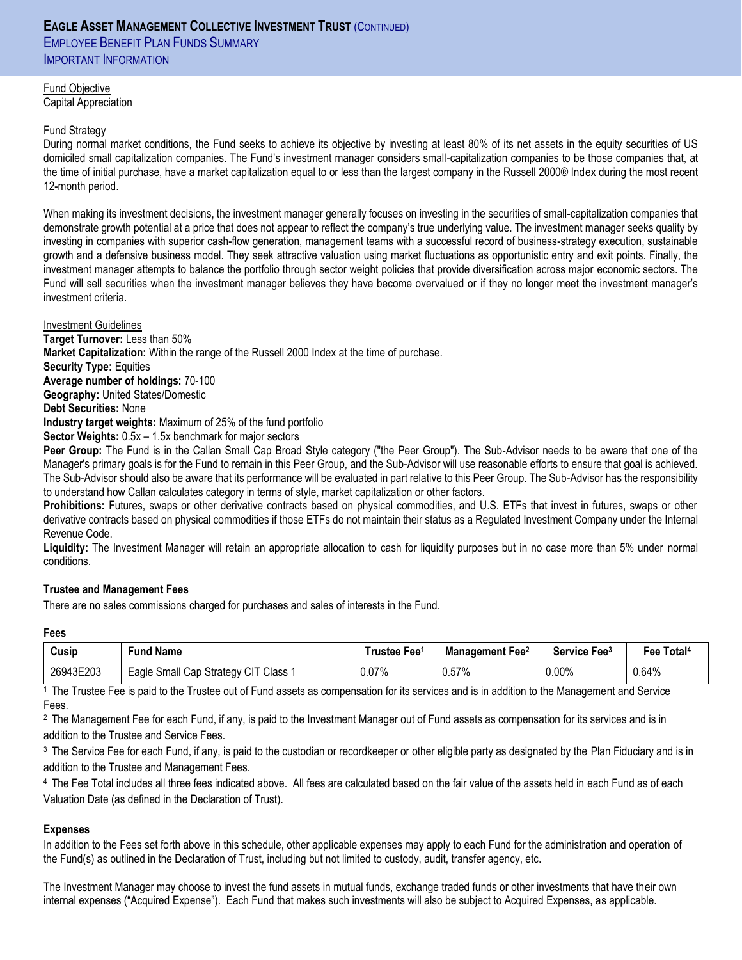# **EAGLE ASSET MANAGEMENT COLLECTIVE INVESTMENT TRUST** (CONTINUED) **EMPLOYEE BENEFIT PLAN FUNDS SUMMARY** IMPORTANT INFORMATION

Fund Objective Capital Appreciation

# Fund Strategy

During normal market conditions, the Fund seeks to achieve its objective by investing at least 80% of its net assets in the equity securities of US domiciled small capitalization companies. The Fund's investment manager considers small-capitalization companies to be those companies that, at the time of initial purchase, have a market capitalization equal to or less than the largest company in the Russell 2000® Index during the most recent 12-month period.

When making its investment decisions, the investment manager generally focuses on investing in the securities of small-capitalization companies that demonstrate growth potential at a price that does not appear to reflect the company's true underlying value. The investment manager seeks quality by investing in companies with superior cash-flow generation, management teams with a successful record of business-strategy execution, sustainable growth and a defensive business model. They seek attractive valuation using market fluctuations as opportunistic entry and exit points. Finally, the investment manager attempts to balance the portfolio through sector weight policies that provide diversification across major economic sectors. The Fund will sell securities when the investment manager believes they have become overvalued or if they no longer meet the investment manager's investment criteria.

#### Investment Guidelines

**Target Turnover:** Less than 50% **Market Capitalization:** Within the range of the Russell 2000 Index at the time of purchase. **Security Type:** Equities

**Average number of holdings:** 70-100 **Geography:** United States/Domestic

**Debt Securities:** None

**Industry target weights:** Maximum of 25% of the fund portfolio

**Sector Weights:** 0.5x – 1.5x benchmark for major sectors

**Peer Group:** The Fund is in the Callan Small Cap Broad Style category ("the Peer Group"). The Sub-Advisor needs to be aware that one of the Manager's primary goals is for the Fund to remain in this Peer Group, and the Sub-Advisor will use reasonable efforts to ensure that goal is achieved. The Sub-Advisor should also be aware that its performance will be evaluated in part relative to this Peer Group. The Sub-Advisor has the responsibility to understand how Callan calculates category in terms of style, market capitalization or other factors.

**Prohibitions:** Futures, swaps or other derivative contracts based on physical commodities, and U.S. ETFs that invest in futures, swaps or other derivative contracts based on physical commodities if those ETFs do not maintain their status as a Regulated Investment Company under the Internal Revenue Code.

**Liquidity:** The Investment Manager will retain an appropriate allocation to cash for liquidity purposes but in no case more than 5% under normal conditions.

# **Trustee and Management Fees**

There are no sales commissions charged for purchases and sales of interests in the Fund.

# **Fees**

| Cusip     | Fund Name                                               | ⊺rustee Fee1 | Management<br>Fee2 | Service Fee <sup>3</sup> | Fee Total <sup>4</sup> |
|-----------|---------------------------------------------------------|--------------|--------------------|--------------------------|------------------------|
| 26943E203 | 3 Small Cap Strategy CIT<br>Class <sup>-</sup><br>Eagle | 0.07%        | 0.57%              | 0.00%                    | 0.64%                  |

<sup>1</sup>The Trustee Fee is paid to the Trustee out of Fund assets as compensation for its services and is in addition to the Management and Service Fees.

<sup>2</sup> The Management Fee for each Fund, if any, is paid to the Investment Manager out of Fund assets as compensation for its services and is in addition to the Trustee and Service Fees.

<sup>3</sup> The Service Fee for each Fund, if any, is paid to the custodian or recordkeeper or other eligible party as designated by the Plan Fiduciary and is in addition to the Trustee and Management Fees.

<sup>4</sup>The Fee Total includes all three fees indicated above. All fees are calculated based on the fair value of the assets held in each Fund as of each Valuation Date (as defined in the Declaration of Trust).

# **Expenses**

In addition to the Fees set forth above in this schedule, other applicable expenses may apply to each Fund for the administration and operation of the Fund(s) as outlined in the Declaration of Trust, including but not limited to custody, audit, transfer agency, etc.

The Investment Manager may choose to invest the fund assets in mutual funds, exchange traded funds or other investments that have their own internal expenses ("Acquired Expense"). Each Fund that makes such investments will also be subject to Acquired Expenses, as applicable.